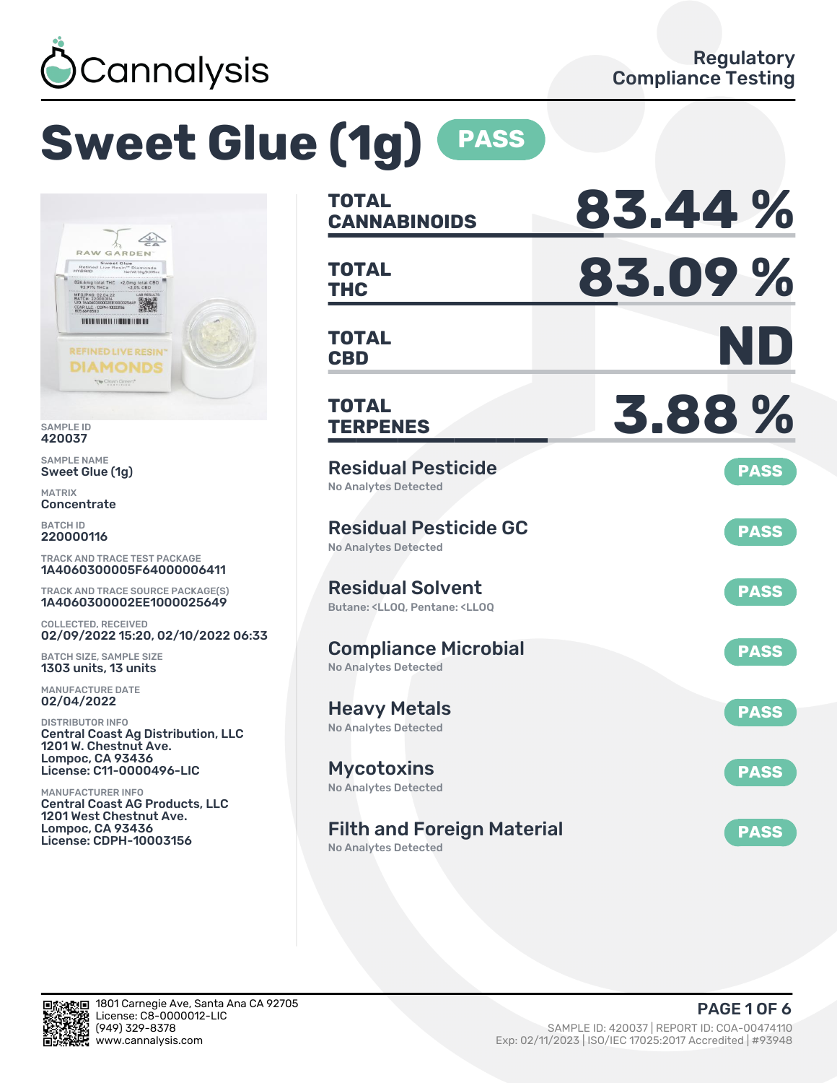

# **Sweet Glue (1g) PASS**



SAMPLE ID 420037

SAMPLE NAME Sweet Glue (1g)

MATRIX **Concentrate** 

BATCH ID 220000116

TRACK AND TRACE TEST PACKAGE 1A4060300005F64000006411

TRACK AND TRACE SOURCE PACKAGE(S) 1A4060300002EE1000025649

COLLECTED, RECEIVED 02/09/2022 15:20, 02/10/2022 06:33

BATCH SIZE, SAMPLE SIZE 1303 units, 13 units

MANUFACTURE DATE 02/04/2022

DISTRIBUTOR INFO Central Coast Ag Distribution, LLC 1201 W. Chestnut Ave. Lompoc, CA 93436 License: C11-0000496-LIC

MANUFACTURER INFO Central Coast AG Products, LLC 1201 West Chestnut Ave. Lompoc, CA 93436 License: CDPH-10003156

| <b>TOTAL</b><br><b>CANNABINOIDS</b>                                                                | 83.44%      |
|----------------------------------------------------------------------------------------------------|-------------|
| <b>TOTAL</b><br><b>THC</b>                                                                         | 83.09%      |
| TOTAL<br><b>CBD</b>                                                                                | ND          |
| <b>TOTAL</b><br><b>TERPENES</b>                                                                    | 3.88%       |
| <b>Residual Pesticide</b><br><b>No Analytes Detected</b>                                           | <b>PASS</b> |
| <b>Residual Pesticide GC</b><br>No Analytes Detected                                               | <b>PASS</b> |
| <b>Residual Solvent</b><br>Butane: <ll00. <ll00<="" pentane:="" td=""><td><b>PASS</b></td></ll00.> | <b>PASS</b> |
| <b>Compliance Microbial</b><br><b>No Analytes Detected</b>                                         | <b>PASS</b> |
| <b>Heavy Metals</b><br><b>No Analytes Detected</b>                                                 | <b>PASS</b> |
| <b>Mycotoxins</b><br>No Analytes Detected                                                          | <b>PASS</b> |
| <b>Filth and Foreign Material</b>                                                                  | <b>PASS</b> |

No Analytes Detected

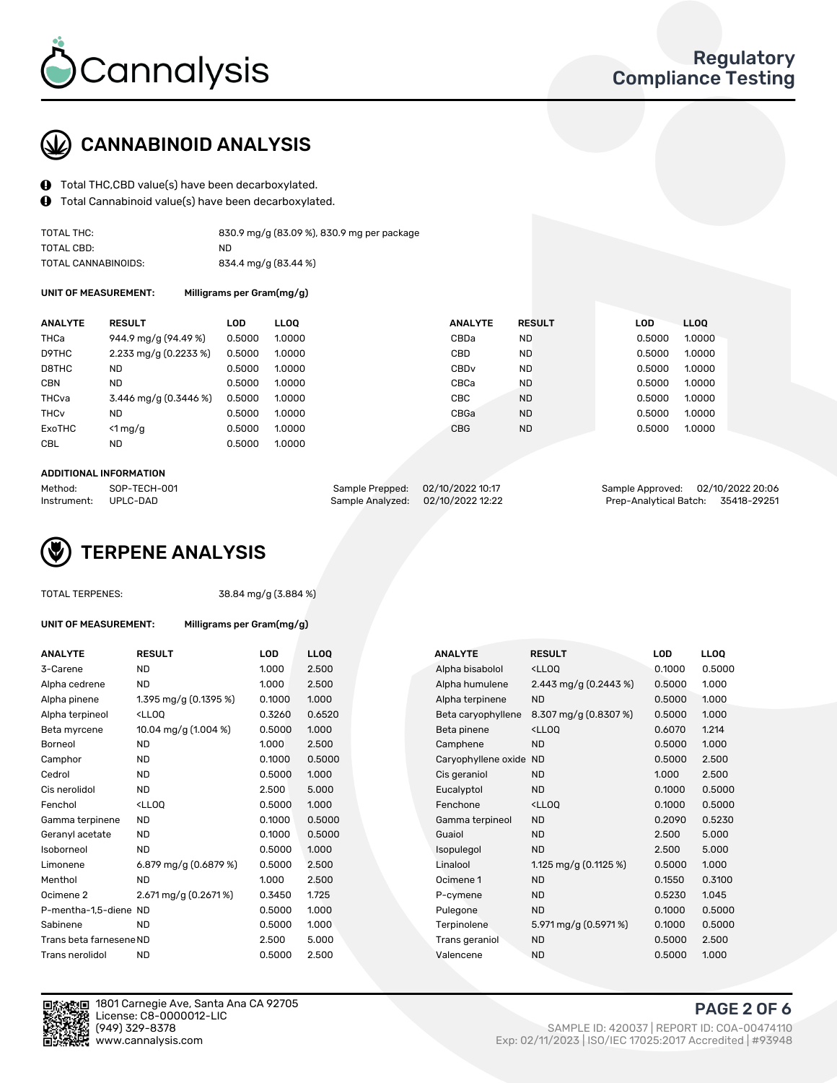

# CANNABINOID ANALYSIS

- Total THC,CBD value(s) have been decarboxylated.
- Total Cannabinoid value(s) have been decarboxylated.  $\mathbf{\Theta}$

| TOTAL THC:          | 830.9 mg/g (83.09 %), 830.9 mg per package |
|---------------------|--------------------------------------------|
| TOTAL CBD:          | ND.                                        |
| TOTAL CANNABINOIDS: | 834.4 mg/g (83.44 %)                       |

UNIT OF MEASUREMENT: Milligrams per Gram(mg/g)

| <b>ANALYTE</b>         | <b>RESULT</b>                           | LOD    | <b>LLOO</b> | <b>ANALYTE</b>   | <b>RESULT</b> | <b>LOD</b> | LLOO   |
|------------------------|-----------------------------------------|--------|-------------|------------------|---------------|------------|--------|
| <b>THCa</b>            | 944.9 mg/g (94.49 %)                    | 0.5000 | 1.0000      | CBDa             | ND.           | 0.5000     | 1.0000 |
| D9THC                  | $2.233 \text{ mg/g} (0.2233 \text{ %})$ | 0.5000 | 1.0000      | CBD              | <b>ND</b>     | 0.5000     | 1.0000 |
| D8THC                  | ND                                      | 0.5000 | 1.0000      | CBD <sub>v</sub> | <b>ND</b>     | 0.5000     | 1.0000 |
| <b>CBN</b>             | <b>ND</b>                               | 0.5000 | 1.0000      | CBCa             | <b>ND</b>     | 0.5000     | 1.0000 |
| THCva                  | 3.446 mg/g $(0.3446\%)$                 | 0.5000 | 1.0000      | <b>CBC</b>       | <b>ND</b>     | 0.5000     | 1.0000 |
| <b>THC<sub>v</sub></b> | <b>ND</b>                               | 0.5000 | 1.0000      | CBGa             | <b>ND</b>     | 0.5000     | 1.0000 |
| ExoTHC                 | $<$ 1 mg/g                              | 0.5000 | 1.0000      | <b>CBG</b>       | <b>ND</b>     | 0.5000     | 1.0000 |
| <b>CBL</b>             | <b>ND</b>                               | 0.5000 | 1.0000      |                  |               |            |        |
|                        |                                         |        |             |                  |               |            |        |

#### ADDITIONAL INFORMATION

| Method:              | SOP-TECH-001 | Sample Prepped: 02/10/2022 10:17  | Sample Approved: 02/10/2022 20:06  |  |
|----------------------|--------------|-----------------------------------|------------------------------------|--|
| Instrument: UPLC-DAD |              | Sample Analyzed: 02/10/2022 12:22 | Prep-Analytical Batch: 35418-29251 |  |

# TERPENE ANALYSIS

|  | TOTAL TERPENES: |
|--|-----------------|
|--|-----------------|

38.84 mg/g (3.884 %)

| UNIT OF MEASUREMENT: |  |
|----------------------|--|
|----------------------|--|

Milligrams per Gram(mg/g)

| <b>ANALYTE</b>          | <b>RESULT</b>                                                                                                                             | <b>LOD</b> | <b>LLOQ</b> | <b>ANALYTE</b>         | <b>RESULT</b>                                       | <b>LOD</b> | <b>LLOQ</b> |
|-------------------------|-------------------------------------------------------------------------------------------------------------------------------------------|------------|-------------|------------------------|-----------------------------------------------------|------------|-------------|
| 3-Carene                | ND.                                                                                                                                       | 1.000      | 2.500       | Alpha bisabolol        | <lloq< td=""><td>0.1000</td><td>0.5000</td></lloq<> | 0.1000     | 0.5000      |
| Alpha cedrene           | <b>ND</b>                                                                                                                                 | 1.000      | 2.500       | Alpha humulene         | 2.443 mg/g $(0.2443\%)$                             | 0.5000     | 1.000       |
| Alpha pinene            | 1.395 mg/g $(0.1395\%)$                                                                                                                   | 0.1000     | 1.000       | Alpha terpinene        | <b>ND</b>                                           | 0.5000     | 1.000       |
| Alpha terpineol         | <lloq< td=""><td>0.3260</td><td>0.6520</td><td>Beta caryophyllene</td><td>8.307 mg/g (0.8307 %)</td><td>0.5000</td><td>1.000</td></lloq<> | 0.3260     | 0.6520      | Beta caryophyllene     | 8.307 mg/g (0.8307 %)                               | 0.5000     | 1.000       |
| Beta myrcene            | 10.04 mg/g (1.004 %)                                                                                                                      | 0.5000     | 1.000       | Beta pinene            | <lloq< td=""><td>0.6070</td><td>1.214</td></lloq<>  | 0.6070     | 1.214       |
| Borneol                 | ND.                                                                                                                                       | 1.000      | 2.500       | Camphene               | <b>ND</b>                                           | 0.5000     | 1.000       |
| Camphor                 | <b>ND</b>                                                                                                                                 | 0.1000     | 0.5000      | Caryophyllene oxide ND |                                                     | 0.5000     | 2.500       |
| Cedrol                  | <b>ND</b>                                                                                                                                 | 0.5000     | 1.000       | Cis geraniol           | <b>ND</b>                                           | 1.000      | 2.500       |
| Cis nerolidol           | <b>ND</b>                                                                                                                                 | 2.500      | 5.000       | Eucalyptol             | <b>ND</b>                                           | 0.1000     | 0.5000      |
| Fenchol                 | <lloq< td=""><td>0.5000</td><td>1.000</td><td>Fenchone</td><td><lloq< td=""><td>0.1000</td><td>0.5000</td></lloq<></td></lloq<>           | 0.5000     | 1.000       | Fenchone               | <lloq< td=""><td>0.1000</td><td>0.5000</td></lloq<> | 0.1000     | 0.5000      |
| Gamma terpinene         | ND.                                                                                                                                       | 0.1000     | 0.5000      | Gamma terpineol        | <b>ND</b>                                           | 0.2090     | 0.5230      |
| Geranyl acetate         | <b>ND</b>                                                                                                                                 | 0.1000     | 0.5000      | Guaiol                 | <b>ND</b>                                           | 2.500      | 5.000       |
| Isoborneol              | <b>ND</b>                                                                                                                                 | 0.5000     | 1.000       | Isopulegol             | <b>ND</b>                                           | 2.500      | 5.000       |
| Limonene                | 6.879 mg/g (0.6879 %)                                                                                                                     | 0.5000     | 2.500       | Linalool               | 1.125 mg/g $(0.1125%)$                              | 0.5000     | 1.000       |
| Menthol                 | <b>ND</b>                                                                                                                                 | 1.000      | 2.500       | Ocimene 1              | <b>ND</b>                                           | 0.1550     | 0.3100      |
| Ocimene 2               | 2.671 mg/g (0.2671 %)                                                                                                                     | 0.3450     | 1.725       | P-cymene               | <b>ND</b>                                           | 0.5230     | 1.045       |
| P-mentha-1,5-diene ND   |                                                                                                                                           | 0.5000     | 1.000       | Pulegone               | <b>ND</b>                                           | 0.1000     | 0.5000      |
| Sabinene                | <b>ND</b>                                                                                                                                 | 0.5000     | 1.000       | Terpinolene            | 5.971 mg/g (0.5971 %)                               | 0.1000     | 0.5000      |
| Trans beta farnesene ND |                                                                                                                                           | 2.500      | 5.000       | Trans geraniol         | <b>ND</b>                                           | 0.5000     | 2.500       |
| Trans nerolidol         | <b>ND</b>                                                                                                                                 | 0.5000     | 2.500       | Valencene              | <b>ND</b>                                           | 0.5000     | 1.000       |
|                         |                                                                                                                                           |            |             |                        |                                                     |            |             |





1801 Carnegie Ave, Santa Ana CA 92705 License: C8-0000012-LIC

PAGE 2 OF 6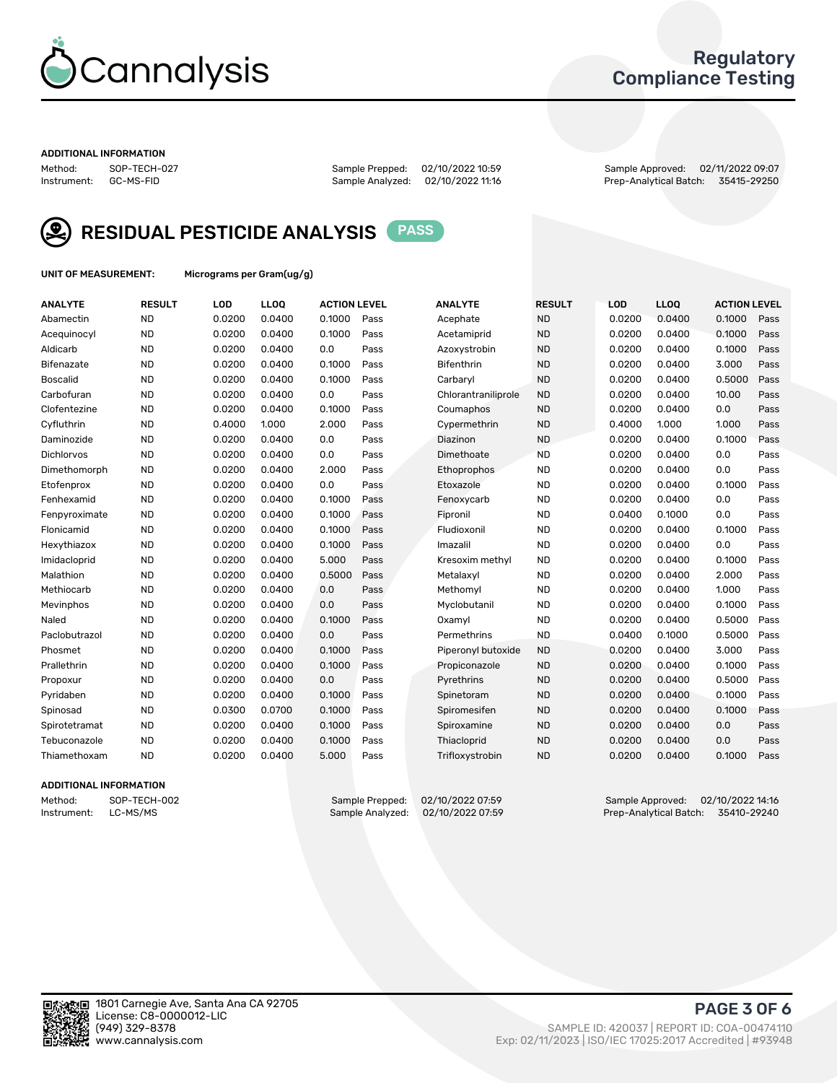

# Regulatory Compliance Testing

#### ADDITIONAL INFORMATION

Method: SOP-TECH-027 Sample Prepped: 02/10/2022 10:59 Sample Approved: 02/11/2022 09:07 Prep-Analytical Batch: 35415-29250



RESIDUAL PESTICIDE ANALYSIS PASS

UNIT OF MEASUREMENT: Micrograms per Gram(ug/g)

| <b>ANALYTE</b>    | <b>RESULT</b> | LOD    | LL <sub>OO</sub> | <b>ACTION LEVEL</b> |      | <b>ANALYTE</b>      | <b>RESULT</b> | <b>LOD</b> | <b>LLOQ</b> | <b>ACTION LEVEL</b> |      |
|-------------------|---------------|--------|------------------|---------------------|------|---------------------|---------------|------------|-------------|---------------------|------|
| Abamectin         | <b>ND</b>     | 0.0200 | 0.0400           | 0.1000              | Pass | Acephate            | <b>ND</b>     | 0.0200     | 0.0400      | 0.1000              | Pass |
| Acequinocyl       | <b>ND</b>     | 0.0200 | 0.0400           | 0.1000              | Pass | Acetamiprid         | <b>ND</b>     | 0.0200     | 0.0400      | 0.1000              | Pass |
| Aldicarb          | <b>ND</b>     | 0.0200 | 0.0400           | 0.0                 | Pass | Azoxystrobin        | <b>ND</b>     | 0.0200     | 0.0400      | 0.1000              | Pass |
| Bifenazate        | <b>ND</b>     | 0.0200 | 0.0400           | 0.1000              | Pass | <b>Bifenthrin</b>   | <b>ND</b>     | 0.0200     | 0.0400      | 3.000               | Pass |
| <b>Boscalid</b>   | <b>ND</b>     | 0.0200 | 0.0400           | 0.1000              | Pass | Carbarvl            | <b>ND</b>     | 0.0200     | 0.0400      | 0.5000              | Pass |
| Carbofuran        | <b>ND</b>     | 0.0200 | 0.0400           | 0.0                 | Pass | Chlorantraniliprole | <b>ND</b>     | 0.0200     | 0.0400      | 10.00               | Pass |
| Clofentezine      | <b>ND</b>     | 0.0200 | 0.0400           | 0.1000              | Pass | Coumaphos           | <b>ND</b>     | 0.0200     | 0.0400      | 0.0                 | Pass |
| Cyfluthrin        | <b>ND</b>     | 0.4000 | 1.000            | 2.000               | Pass | Cypermethrin        | <b>ND</b>     | 0.4000     | 1.000       | 1.000               | Pass |
| Daminozide        | <b>ND</b>     | 0.0200 | 0.0400           | 0.0                 | Pass | Diazinon            | <b>ND</b>     | 0.0200     | 0.0400      | 0.1000              | Pass |
| <b>Dichlorvos</b> | <b>ND</b>     | 0.0200 | 0.0400           | 0.0                 | Pass | Dimethoate          | <b>ND</b>     | 0.0200     | 0.0400      | 0.0                 | Pass |
| Dimethomorph      | <b>ND</b>     | 0.0200 | 0.0400           | 2.000               | Pass | <b>Ethoprophos</b>  | <b>ND</b>     | 0.0200     | 0.0400      | 0.0                 | Pass |
| Etofenprox        | <b>ND</b>     | 0.0200 | 0.0400           | 0.0                 | Pass | Etoxazole           | <b>ND</b>     | 0.0200     | 0.0400      | 0.1000              | Pass |
| Fenhexamid        | <b>ND</b>     | 0.0200 | 0.0400           | 0.1000              | Pass | Fenoxycarb          | <b>ND</b>     | 0.0200     | 0.0400      | 0.0                 | Pass |
| Fenpyroximate     | <b>ND</b>     | 0.0200 | 0.0400           | 0.1000              | Pass | Fipronil            | <b>ND</b>     | 0.0400     | 0.1000      | 0.0                 | Pass |
| Flonicamid        | <b>ND</b>     | 0.0200 | 0.0400           | 0.1000              | Pass | Fludioxonil         | <b>ND</b>     | 0.0200     | 0.0400      | 0.1000              | Pass |
| Hexythiazox       | <b>ND</b>     | 0.0200 | 0.0400           | 0.1000              | Pass | Imazalil            | <b>ND</b>     | 0.0200     | 0.0400      | 0.0                 | Pass |
| Imidacloprid      | <b>ND</b>     | 0.0200 | 0.0400           | 5.000               | Pass | Kresoxim methyl     | <b>ND</b>     | 0.0200     | 0.0400      | 0.1000              | Pass |
| Malathion         | <b>ND</b>     | 0.0200 | 0.0400           | 0.5000              | Pass | Metalaxyl           | <b>ND</b>     | 0.0200     | 0.0400      | 2.000               | Pass |
| Methiocarb        | <b>ND</b>     | 0.0200 | 0.0400           | 0.0                 | Pass | Methomyl            | <b>ND</b>     | 0.0200     | 0.0400      | 1.000               | Pass |
| Mevinphos         | <b>ND</b>     | 0.0200 | 0.0400           | 0.0                 | Pass | Myclobutanil        | <b>ND</b>     | 0.0200     | 0.0400      | 0.1000              | Pass |
| Naled             | <b>ND</b>     | 0.0200 | 0.0400           | 0.1000              | Pass | Oxamyl              | <b>ND</b>     | 0.0200     | 0.0400      | 0.5000              | Pass |
| Paclobutrazol     | <b>ND</b>     | 0.0200 | 0.0400           | 0.0                 | Pass | Permethrins         | <b>ND</b>     | 0.0400     | 0.1000      | 0.5000              | Pass |
| Phosmet           | <b>ND</b>     | 0.0200 | 0.0400           | 0.1000              | Pass | Piperonyl butoxide  | <b>ND</b>     | 0.0200     | 0.0400      | 3.000               | Pass |
| Prallethrin       | <b>ND</b>     | 0.0200 | 0.0400           | 0.1000              | Pass | Propiconazole       | <b>ND</b>     | 0.0200     | 0.0400      | 0.1000              | Pass |
| Propoxur          | <b>ND</b>     | 0.0200 | 0.0400           | 0.0                 | Pass | Pyrethrins          | <b>ND</b>     | 0.0200     | 0.0400      | 0.5000              | Pass |
| Pyridaben         | <b>ND</b>     | 0.0200 | 0.0400           | 0.1000              | Pass | Spinetoram          | <b>ND</b>     | 0.0200     | 0.0400      | 0.1000              | Pass |
| Spinosad          | <b>ND</b>     | 0.0300 | 0.0700           | 0.1000              | Pass | Spiromesifen        | <b>ND</b>     | 0.0200     | 0.0400      | 0.1000              | Pass |
| Spirotetramat     | <b>ND</b>     | 0.0200 | 0.0400           | 0.1000              | Pass | Spiroxamine         | <b>ND</b>     | 0.0200     | 0.0400      | 0.0                 | Pass |
| Tebuconazole      | <b>ND</b>     | 0.0200 | 0.0400           | 0.1000              | Pass | Thiacloprid         | <b>ND</b>     | 0.0200     | 0.0400      | 0.0                 | Pass |
| Thiamethoxam      | <b>ND</b>     | 0.0200 | 0.0400           | 5.000               | Pass | Trifloxystrobin     | <b>ND</b>     | 0.0200     | 0.0400      | 0.1000              | Pass |

### ADDITIONAL INFORMATION

Method: SOP-TECH-002 Sample Prepped: 02/10/2022 07:59 Sample Approved: 02/10/2022 14:16<br>Instrument: LC-MS/MS Sample Analyzed: 02/10/2022 07:59 Prep-Analytical Batch: 35410-29240 Prep-Analytical Batch: 35410-29240

PAGE 3 OF 6

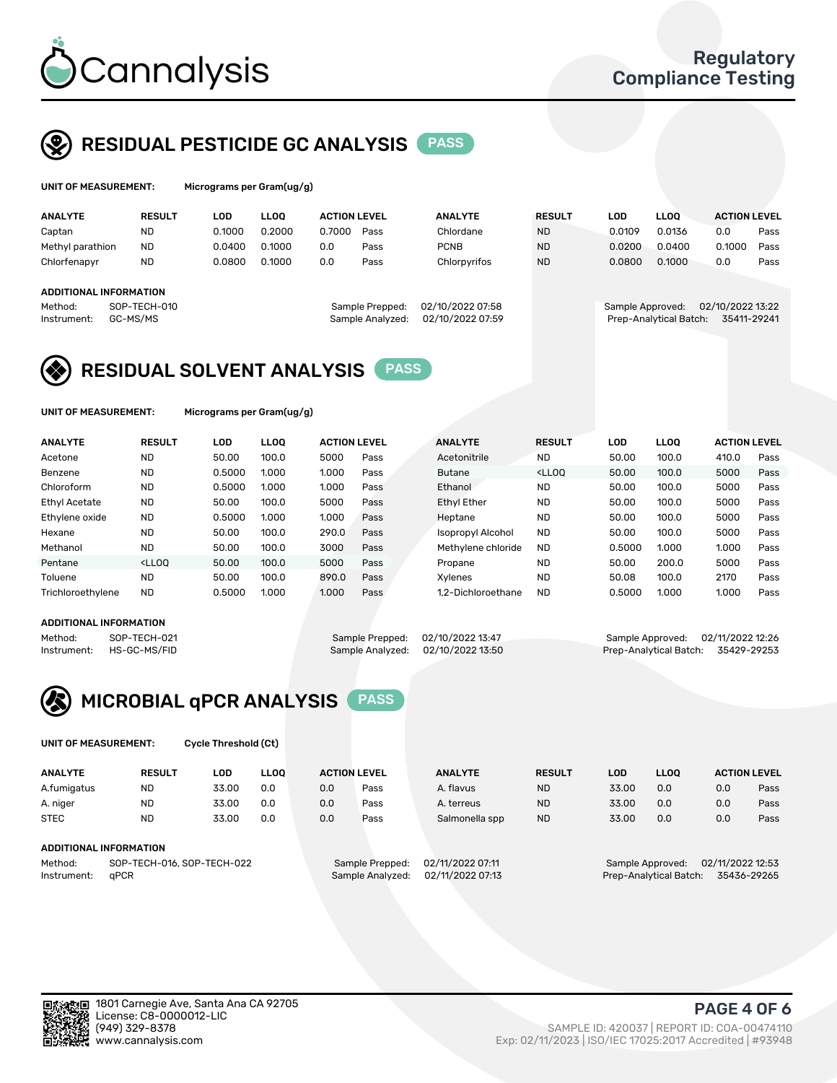

UNIT OF MEASUREMENT: Micrograms per Gram(ug/g)

# RESIDUAL PESTICIDE GC ANALYSIS PASS

| <b>ANALYTE</b>   | <b>RESULT</b>          | LOD    | <b>LLOO</b>      | <b>ACTION LEVEL</b> |      | <b>ANALYTE</b>   | <b>RESULT</b>          | LOD.             | <b>LLOO</b> | <b>ACTION LEVEL</b> |      |
|------------------|------------------------|--------|------------------|---------------------|------|------------------|------------------------|------------------|-------------|---------------------|------|
| Captan           | <b>ND</b>              | 0.1000 | 0.2000           | 0.7000              | Pass | Chlordane        | <b>ND</b>              | 0.0109           | 0.0136      | 0.0                 | Pass |
| Methyl parathion | <b>ND</b>              | 0.0400 | 0.1000           | 0.0                 | Pass | <b>PCNB</b>      | <b>ND</b>              | 0.0200           | 0.0400      | 0.1000              | Pass |
| Chlorfenapyr     | <b>ND</b>              | 0.0800 | 0.1000           | 0.0                 | Pass | Chlorpyrifos     | <b>ND</b>              | 0.0800           | 0.1000      | 0.0                 | Pass |
|                  |                        |        |                  |                     |      |                  |                        |                  |             |                     |      |
|                  | ADDITIONAL INFORMATION |        |                  |                     |      |                  |                        |                  |             |                     |      |
| Method:          | SOP-TECH-010           |        | Sample Prepped:  | 02/10/2022 07:58    |      | Sample Approved: |                        | 02/10/2022 13:22 |             |                     |      |
| Instrument:      | GC-MS/MS               |        | Sample Analyzed: | 02/10/2022 07:59    |      |                  | Prep-Analytical Batch: | 35411-29241      |             |                     |      |
|                  |                        |        |                  |                     |      |                  |                        |                  |             |                     |      |

# RESIDUAL SOLVENT ANALYSIS PASS

UNIT OF MEASUREMENT: Micrograms per Gram(ug/g)

| <b>ANALYTE</b>       | <b>RESULT</b>                                                                                                                                                       | LOD    | <b>LLOO</b> | <b>ACTION LEVEL</b> |      | <b>ANALYTE</b>           | <b>RESULT</b>                                                               | <b>LOD</b> | <b>LLOO</b> | <b>ACTION LEVEL</b> |      |
|----------------------|---------------------------------------------------------------------------------------------------------------------------------------------------------------------|--------|-------------|---------------------|------|--------------------------|-----------------------------------------------------------------------------|------------|-------------|---------------------|------|
| Acetone              | <b>ND</b>                                                                                                                                                           | 50.00  | 100.0       | 5000                | Pass | Acetonitrile             | <b>ND</b>                                                                   | 50.00      | 100.0       | 410.0               | Pass |
| Benzene              | <b>ND</b>                                                                                                                                                           | 0.5000 | 1.000       | 1.000               | Pass | <b>Butane</b>            | <lloo< td=""><td>50.00</td><td>100.0</td><td>5000</td><td>Pass</td></lloo<> | 50.00      | 100.0       | 5000                | Pass |
| Chloroform           | <b>ND</b>                                                                                                                                                           | 0.5000 | 1.000       | 1.000               | Pass | Ethanol                  | <b>ND</b>                                                                   | 50.00      | 100.0       | 5000                | Pass |
| <b>Ethyl Acetate</b> | <b>ND</b>                                                                                                                                                           | 50.00  | 100.0       | 5000                | Pass | <b>Ethyl Ether</b>       | <b>ND</b>                                                                   | 50.00      | 100.0       | 5000                | Pass |
| Ethylene oxide       | <b>ND</b>                                                                                                                                                           | 0.5000 | 1.000       | 1.000               | Pass | Heptane                  | <b>ND</b>                                                                   | 50.00      | 100.0       | 5000                | Pass |
| Hexane               | <b>ND</b>                                                                                                                                                           | 50.00  | 100.0       | 290.0               | Pass | <b>Isopropyl Alcohol</b> | <b>ND</b>                                                                   | 50.00      | 100.0       | 5000                | Pass |
| Methanol             | <b>ND</b>                                                                                                                                                           | 50.00  | 100.0       | 3000                | Pass | Methylene chloride       | <b>ND</b>                                                                   | 0.5000     | 1.000       | 1.000               | Pass |
| Pentane              | <lloo< td=""><td>50.00</td><td>100.0</td><td>5000</td><td>Pass</td><td>Propane</td><td><b>ND</b></td><td>50.00</td><td>200.0</td><td>5000</td><td>Pass</td></lloo<> | 50.00  | 100.0       | 5000                | Pass | Propane                  | <b>ND</b>                                                                   | 50.00      | 200.0       | 5000                | Pass |
| Toluene              | <b>ND</b>                                                                                                                                                           | 50.00  | 100.0       | 890.0               | Pass | Xvlenes                  | <b>ND</b>                                                                   | 50.08      | 100.0       | 2170                | Pass |
| Trichloroethylene    | <b>ND</b>                                                                                                                                                           | 0.5000 | 1.000       | 1.000               | Pass | 1.2-Dichloroethane       | <b>ND</b>                                                                   | 0.5000     | 1.000       | 1.000               | Pass |
|                      |                                                                                                                                                                     |        |             |                     |      |                          |                                                                             |            |             |                     |      |

### ADDITIONAL INFORMATION

Method: SOP-TECH-021 Sample Prepped: 02/10/2022 13:47 Sample Approved: 02/11/2022 12:26<br>Instrument: HS-GC-MS/FID Sample Analyzed: 02/10/2022 13:50 Prep-Analytical Batch: 35429-29253

Prep-Analytical Batch: 35429-29253



UNIT OF MEASUREMENT: Cycle Threshold (Ct)

| <b>ANALYTE</b>                        | <b>RESULT</b>          | LOD   | <b>LLOO</b> | <b>ACTION LEVEL</b> |                  | <b>ANALYTE</b> | <b>RESULT</b> | LOD              | <b>LLOO</b>      |     | <b>ACTION LEVEL</b> |
|---------------------------------------|------------------------|-------|-------------|---------------------|------------------|----------------|---------------|------------------|------------------|-----|---------------------|
| A.fumigatus                           | <b>ND</b>              | 33.00 | 0.0         | 0.0                 | Pass             | A. flavus      | <b>ND</b>     | 33.00            | 0.0              | 0.0 | Pass                |
| A. niger                              | <b>ND</b>              | 33.00 | 0.0         | 0.0                 | Pass             | A. terreus     | <b>ND</b>     | 33.00            | 0.0              | 0.0 | Pass                |
| <b>STEC</b>                           | <b>ND</b>              | 33.00 | 0.0         | 0.0                 | Pass             | Salmonella spp | <b>ND</b>     | 33.00            | 0.0              | 0.0 | Pass                |
|                                       | ADDITIONAL INFORMATION |       |             |                     |                  |                |               |                  |                  |     |                     |
| SOP-TECH-016, SOP-TECH-022<br>Method: |                        |       |             | Sample Prepped:     | 02/11/2022 07:11 |                |               | Sample Approved: | 02/11/2022 12:53 |     |                     |

Instrument: qPCR Sample Analyzed: 02/11/2022 07:13 Prep-Analytical Batch: 35436-29265

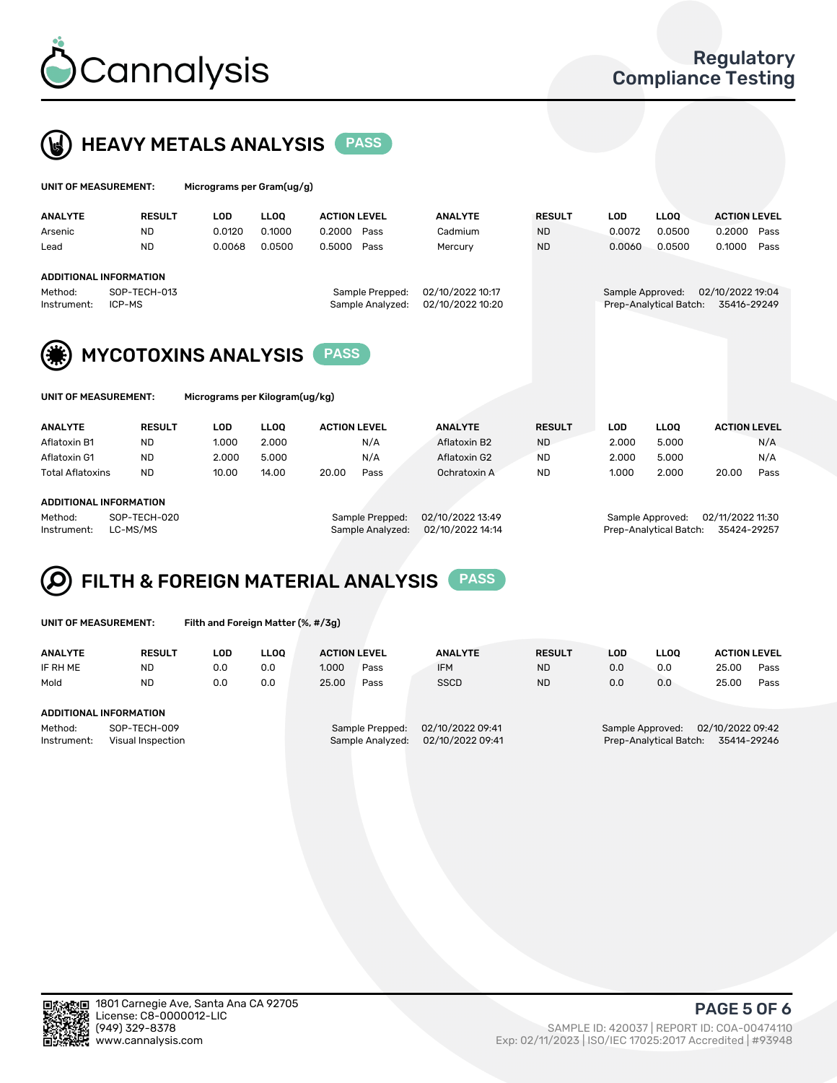



| UNIT OF MEASUREMENT:                                    |                        |                                | Micrograms per Gram(ug/g) |                     |                                     |                                      |               |                  |                        |                                 |      |  |  |  |
|---------------------------------------------------------|------------------------|--------------------------------|---------------------------|---------------------|-------------------------------------|--------------------------------------|---------------|------------------|------------------------|---------------------------------|------|--|--|--|
| <b>ANALYTE</b>                                          | <b>RESULT</b>          | <b>LOD</b>                     | <b>LLOO</b>               | <b>ACTION LEVEL</b> |                                     | <b>ANALYTE</b>                       | <b>RESULT</b> | <b>LOD</b>       | <b>LLOO</b>            | <b>ACTION LEVEL</b>             |      |  |  |  |
| Arsenic                                                 | <b>ND</b>              | 0.0120                         | 0.1000                    | 0.2000              | Pass                                | Cadmium                              | <b>ND</b>     | 0.0072           | 0.0500                 | 0.2000                          | Pass |  |  |  |
| Lead                                                    | <b>ND</b>              | 0.0068                         | 0.0500                    | 0.5000              | Pass                                | Mercury                              | <b>ND</b>     | 0.0060           | 0.0500                 | 0.1000                          | Pass |  |  |  |
| <b>ADDITIONAL INFORMATION</b><br>Method:<br>Instrument: | SOP-TECH-013<br>ICP-MS |                                |                           |                     | Sample Prepped:<br>Sample Analyzed: | 02/10/2022 10:17<br>02/10/2022 10:20 |               | Sample Approved: | Prep-Analytical Batch: | 02/10/2022 19:04<br>35416-29249 |      |  |  |  |
|                                                         |                        | <b>MYCOTOXINS ANALYSIS</b>     |                           | <b>PASS</b>         |                                     |                                      |               |                  |                        |                                 |      |  |  |  |
| UNIT OF MEASUREMENT:                                    |                        | Micrograms per Kilogram(ug/kg) |                           |                     |                                     |                                      |               |                  |                        |                                 |      |  |  |  |

| <b>ANALYTE</b>         | <b>RESULT</b> | LOD   | <b>LLOO</b> | <b>ACTION LEVEL</b> |      | <b>ANALYTE</b> | <b>RESULT</b> | LOD   | <b>LLOO</b> | <b>ACTION LEVEL</b> |      |
|------------------------|---------------|-------|-------------|---------------------|------|----------------|---------------|-------|-------------|---------------------|------|
| Aflatoxin B1           | <b>ND</b>     | 1.000 | 2.000       |                     | N/A  | Aflatoxin B2   | <b>ND</b>     | 2.000 | 5.000       |                     | N/A  |
| Aflatoxin G1           | <b>ND</b>     | 2.000 | 5.000       |                     | N/A  | Aflatoxin G2   | ND            | 2.000 | 5.000       |                     | N/A  |
| Total Aflatoxins       | <b>ND</b>     | 10.00 | 14.00       | 20.00               | Pass | Ochratoxin A   | <b>ND</b>     | 1.000 | 2.000       | 20.00               | Pass |
|                        |               |       |             |                     |      |                |               |       |             |                     |      |
| ADDITIONAL INFORMATION |               |       |             |                     |      |                |               |       |             |                     |      |

Method: SOP-TECH-020 Sample Prepped: 02/10/2022 13:49 Sample Approved: 02/11/2022 11:30 Instrument: LC-MS/MS Sample Analyzed: 02/10/2022 14:14 Prep-Analytical Batch: 35424-29257

#### FILTH & FOREIGN MATERIAL ANALYSIS PASS Q

UNIT OF MEASUREMENT: Filth and Foreign Matter (%, #/3g)

| <b>ANALYTE</b>                | <b>RESULT</b>                     | LOD | <b>LLOO</b> | <b>ACTION LEVEL</b> |                                     | <b>ANALYTE</b>                       | <b>RESULT</b> | LOD | <b>LLOO</b>                                | <b>ACTION LEVEL</b>             |      |
|-------------------------------|-----------------------------------|-----|-------------|---------------------|-------------------------------------|--------------------------------------|---------------|-----|--------------------------------------------|---------------------------------|------|
| IF RH ME                      | <b>ND</b>                         | 0.0 | 0.0         | 1.000               | Pass                                | <b>IFM</b>                           | <b>ND</b>     | 0.0 | 0.0                                        | 25.00                           | Pass |
| Mold                          | <b>ND</b>                         | 0.0 | 0.0         | 25.00               | Pass                                | <b>SSCD</b>                          | <b>ND</b>     | 0.0 | 0.0                                        | 25.00                           | Pass |
| <b>ADDITIONAL INFORMATION</b> |                                   |     |             |                     |                                     |                                      |               |     |                                            |                                 |      |
| Method:<br>Instrument:        | SOP-TECH-009<br>Visual Inspection |     |             |                     | Sample Prepped:<br>Sample Analyzed: | 02/10/2022 09:41<br>02/10/2022 09:41 |               |     | Sample Approved:<br>Prep-Analytical Batch: | 02/10/2022 09:42<br>35414-29246 |      |



PAGE 5 OF 6